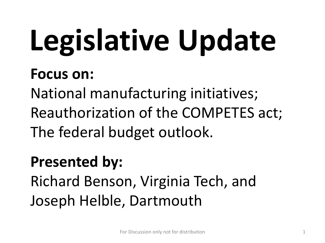# **Legislative Update**

#### **Focus on:**

National manufacturing initiatives; Reauthorization of the COMPETES act; The federal budget outlook.

#### **Presented by:**

Richard Benson, Virginia Tech, and Joseph Helble, Dartmouth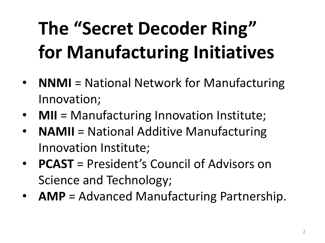## **The "Secret Decoder Ring" for Manufacturing Initiatives**

- **NNMI** = National Network for Manufacturing Innovation;
- **MII** = Manufacturing Innovation Institute;
- **NAMII** = National Additive Manufacturing Innovation Institute;
- **PCAST** = President's Council of Advisors on Science and Technology;
- **AMP** = Advanced Manufacturing Partnership.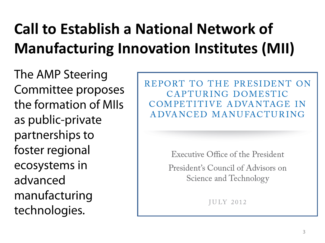#### **Call to Establish a National Network of Manufacturing Innovation Institutes (MII)**

The AMP Steering Committee proposes the formation of MIIs as public-private partnerships to foster regional ecosystems in advanced manufacturing technologies.

REPORT TO THE PRESIDENT ON CAPTURING DOMESTIC COMPETITIVE ADVANTAGE IN ADVANCED MANUFACTURING

Executive Office of the President

President's Council of Advisors on Science and Technology

**IULY 2012**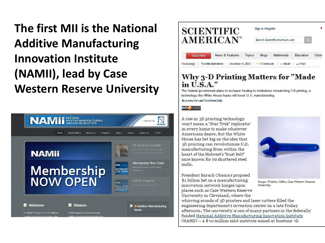#### **The first MII is the National Additive Manufacturing Innovation Institute (NAMII), lead by Case Western Reserve University**





#### **Why 3-D Printing Matters for "Made** in U.S.A."

The federal government plans to increase funding to institutions researching 3-D printing, a technology the White House hopes will boost U.S. manufacturing By Jeremy Hs + and Tech News Daily

#### tech@media

A rise in 3D printing technology won't mean a "Star Trek" replicator in every home to make whatever Americans desire. But the White House has bet big on the idea that 3D printing can revolutionize U.S. manufacturing from within the heart of the Midwest's "Rust Belt" once known for its shuttered steel mills.

President Barack Obama's proposed \$1 billion bet on a manufacturing innovation network hinges upon places such as Case Western Reserve University in Cleveland, where the



Image: Kristina Collins, Case Western Reserve **University** 

whirring sounds of 3D printers and laser cutters filled the engineering department's invention center on a late Friday afternoon. The university is one of many partners in the federally funded National Additive Manufacturing Innovation Institute  $(NAMII)$  – a \$30 million pilot institute aimed at boosting 3D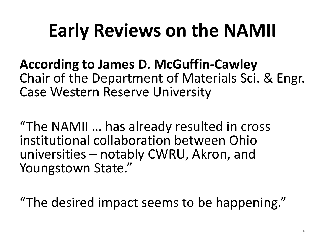### **Early Reviews on the NAMII**

**According to James D. McGuffin-Cawley** Chair of the Department of Materials Sci. & Engr. Case Western Reserve University

"The NAMII … has already resulted in cross institutional collaboration between Ohio universities – notably CWRU, Akron, and Youngstown State."

"The desired impact seems to be happening."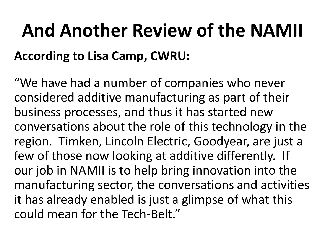## **And Another Review of the NAMII According to Lisa Camp, CWRU:**

"We have had a number of companies who never considered additive manufacturing as part of their business processes, and thus it has started new conversations about the role of this technology in the region. Timken, Lincoln Electric, Goodyear, are just a few of those now looking at additive differently. If our job in NAMII is to help bring innovation into the manufacturing sector, the conversations and activities it has already enabled is just a glimpse of what this could mean for the Tech-Belt."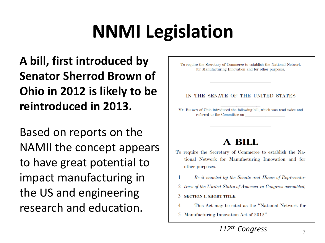## **NNMI Legislation**

#### **A bill, first introduced by Senator Sherrod Brown of Ohio in 2012 is likely to be reintroduced in 2013.**

Based on reports on the NAMII the concept appears to have great potential to impact manufacturing in the US and engineering research and education.

To require the Secretary of Commerce to establish the National Network for Manufacturing Innovation and for other purposes.

#### IN THE SENATE OF THE UNITED STATES

Mr. BROWN of Ohio introduced the following bill; which was read twice and referred to the Committee on

#### **A BILL**

- To require the Secretary of Commerce to establish the National Network for Manufacturing Innovation and for other purposes.
	- Be it enacted by the Senate and House of Representa--1
- 2 tives of the United States of America in Congress assembled,
- 3 **SECTION 1. SHORT TITLE.**
- 4 This Act may be cited as the "National Network for
- 5 Manufacturing Innovation Act of 2012".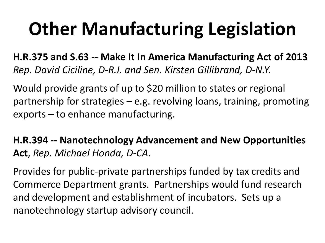## **Other Manufacturing Legislation**

**H.R.375 and S.63 -- Make It In America Manufacturing Act of 2013**  *Rep. David Ciciline, D-R.I. and Sen. Kirsten Gillibrand, D-N.Y.* 

Would provide grants of up to \$20 million to states or regional partnership for strategies – e.g. revolving loans, training, promoting exports – to enhance manufacturing.

**H.R.394 -- Nanotechnology Advancement and New Opportunities Act**, *Rep. Michael Honda, D-CA.*

Provides for public-private partnerships funded by tax credits and Commerce Department grants. Partnerships would fund research and development and establishment of incubators. Sets up a nanotechnology startup advisory council.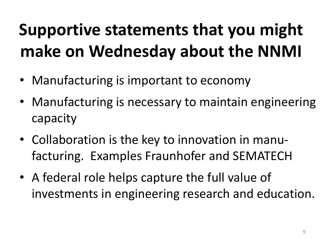### **Supportive statements that you might make on Wednesday about the NNMI**

- Manufacturing is important to economy
- Manufacturing is necessary to maintain engineering capacity
- Collaboration is the key to innovation in manufacturing. Examples Fraunhofer and SEMATECH
- A federal role helps capture the full value of investments in engineering research and education.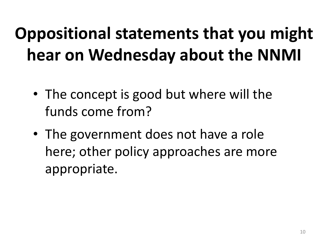### **Oppositional statements that you might hear on Wednesday about the NNMI**

- The concept is good but where will the funds come from?
- The government does not have a role here; other policy approaches are more appropriate.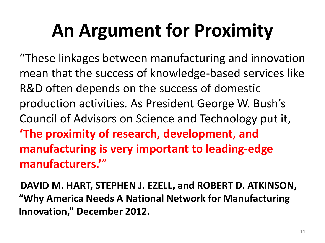## **An Argument for Proximity**

"These linkages between manufacturing and innovation mean that the success of knowledge-based services like R&D often depends on the success of domestic production activities. As President George W. Bush's Council of Advisors on Science and Technology put it, **'The proximity of research, development, and manufacturing is very important to leading-edge manufacturers.'**"

**DAVID M. HART, STEPHEN J. EZELL, and ROBERT D. ATKINSON, "Why America Needs A National Network for Manufacturing Innovation," December 2012.**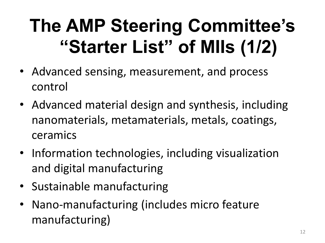## **The AMP Steering Committee's "Starter List" of MIIs (1/2)**

- Advanced sensing, measurement, and process control
- Advanced material design and synthesis, including nanomaterials, metamaterials, metals, coatings, ceramics
- Information technologies, including visualization and digital manufacturing
- Sustainable manufacturing
- Nano‐manufacturing (includes micro feature manufacturing)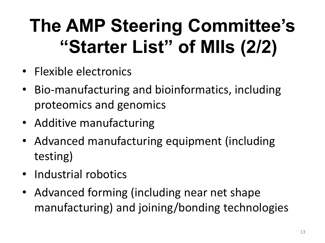## **The AMP Steering Committee's "Starter List" of MIIs (2/2)**

- Flexible electronics
- Bio‐manufacturing and bioinformatics, including proteomics and genomics
- Additive manufacturing
- Advanced manufacturing equipment (including testing)
- Industrial robotics
- Advanced forming (including near net shape manufacturing) and joining/bonding technologies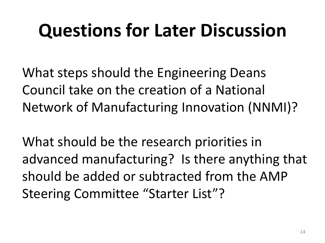### **Questions for Later Discussion**

What steps should the Engineering Deans Council take on the creation of a National Network of Manufacturing Innovation (NNMI)?

What should be the research priorities in advanced manufacturing? Is there anything that should be added or subtracted from the AMP Steering Committee "Starter List"?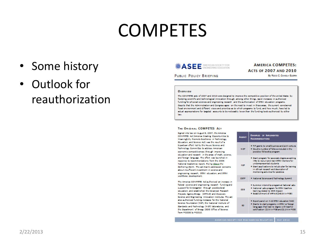#### **COMPETES**

- Some history
- Outlook for reauthorization



**PUBLIC POLICY BRIEFING** 

**AMERICA COMPETES: ACTS OF 2007 AND 2010** By Rood C. CHANELA GUERRA

#### **OVERVIEW**

The COMPETES acts of 2007 and 2010 were designed to improve the competitive position of the United States by festering scientific and technological innovation through, among other things, rapid increases in authorized funding for physical sciences and engineering research and the authorization of STEM education programs. Despite that the Administration and Congress agree on the need to invest in these areas, the current constrained fiscal environment and different views and priorities as to which programs to fund, and how much, have led to actual appropriations for targeted accounts to be noticeably lower than the funding levels authorized by either **Tanza** 

#### THE ORIGINAL COMPETES ACT

Signed into law on August 9, 2007, the America COMPETES Act (America Creating Opportunities to Maningfully Promote Excellence in Technology, Education, and Science Act) was the result of a bipatisan effort led by the House Science and Technology Committee to address American cconomic competitiveness through improving education and research lin the areas of math, science and foreign language. The effort was launched in response to recommendations from the 2005 National Academics report, Maing Shaue the Gathering Storm. The actimainly addressed concern about insufficient investment in science and engineering research, STEM education, and STEM weekfaren development.

The America COMPETES Actual/horized an increase federal science and engineering research. funding a support for kindergarten through postdoctoral education, and catablished the Advanced Nesearch Projects Agency-Energy (ARPA-E) and Discovery Science and Engineering Innovation Institutes, The also authorized funding increases for the National Science Foundation (NSF), the National Institute of Standards and Technology (NIST) laboratories, and the Department of Energy (DDE) Office of Science from PY2008 to PY2010.

|          | <b>AGENCY</b> | EXAMPLES OF IMPLEMENTED<br><b>RECOMMENDATIONS</b>                                                                                                                                                                                                             |
|----------|---------------|---------------------------------------------------------------------------------------------------------------------------------------------------------------------------------------------------------------------------------------------------------------|
| ż.       | <b>NIST</b>   | . TIP grants to small business and joint vertures.<br>. Double number of follows included in the<br>postdoc followship program.                                                                                                                               |
| ä        | NSP.          | . Grant program for associate degree-awarding<br>IHEs to recruit and train STEM mentors for<br>underresresented students.<br>* Grant applications to include plan for training<br>in othical research and description of<br>mentoring activities for postdoes |
| in.      | OSTP          | . National Science and Technology Summit                                                                                                                                                                                                                      |
| mđ<br>кt | <b>DOE</b>    | * Summer internship program at National Tabs<br>. National Labs program for STEM toachors<br>training related to DOE mission.<br>. Establishment of AN/A-E(S4S1Min PYD)                                                                                       |
|          | BD.           | * Expert panel on K-12 STEM education (NAS)<br>. Grants to start programs in STEM or foreign<br>languages that lead to degree with teacher<br>cotification (\$1M in Pros and \$1.1M in Pros)                                                                  |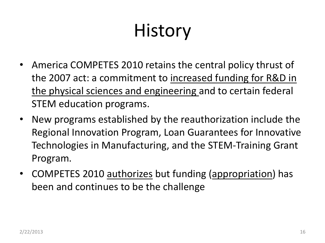## **History**

- America COMPETES 2010 retains the central policy thrust of the 2007 act: a commitment to increased funding for R&D in the physical sciences and engineering and to certain federal STEM education programs.
- New programs established by the reauthorization include the Regional Innovation Program, Loan Guarantees for Innovative Technologies in Manufacturing, and the STEM-Training Grant Program.
- COMPETES 2010 authorizes but funding (appropriation) has been and continues to be the challenge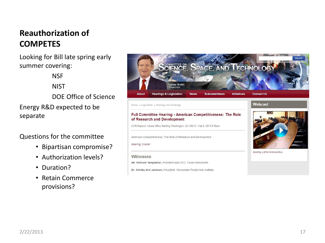#### **Reauthorization of COMPETES**

Looking for Bill late spring early summer covering:

**NSF** 

**NIST** 

DOE Office of Science

Energy R&D expected to be separate

#### Questions for the committee

- Bipartisan compromise?
- Authorization levels?
- Duration?
- Retain Commerce provisions?



Witnesses

**Hearing Charter** 

Mr. Richard Templeton, President and CEO, Texas Instruments

American Competitiveness: The Role of Research and Development

Dr. Shirley Ann Jackson, President, Rensselaer Polytechnic Institute

2318 Rayburn House Office Building Washington, DC 20515 | Feb 6, 2013 9:30am

Hearing will be Webcast live.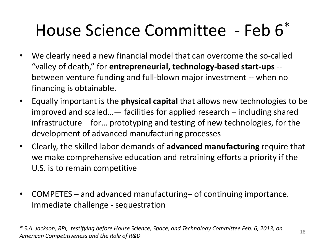#### House Science Committee - Feb 6\*

- We clearly need a new financial model that can overcome the so-called "valley of death," for **entrepreneurial, technology-based start-ups** - between venture funding and full-blown major investment -- when no financing is obtainable.
- Equally important is the **physical capital** that allows new technologies to be improved and scaled…— facilities for applied research – including shared infrastructure – for… prototyping and testing of new technologies, for the development of advanced manufacturing processes
- Clearly, the skilled labor demands of **advanced manufacturing** require that we make comprehensive education and retraining efforts a priority if the U.S. is to remain competitive
- COMPETES and advanced manufacturing– of continuing importance. Immediate challenge - sequestration

*\* S.A. Jackson, RPI, testifying before House Science, Space, and Technology Committee Feb. 6, 2013, on American Competitiveness and the Role of R&D*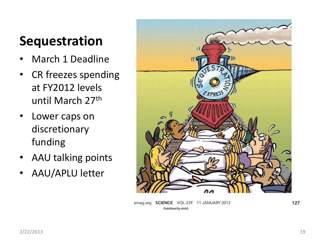#### **Sequestration**

- March 1 Deadline
- CR freezes spending at FY2012 levels until March 27th
- Lower caps on discretionary funding
- AAU talking points
- AAU/APLU letter



emag.org SCIENCE VOL 339 11 JANUARY 2013 Published by AAAS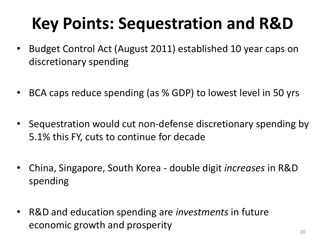### **Key Points: Sequestration and R&D**

- Budget Control Act (August 2011) established 10 year caps on discretionary spending
- BCA caps reduce spending (as % GDP) to lowest level in 50 yrs
- Sequestration would cut non-defense discretionary spending by 5.1% this FY, cuts to continue for decade
- China, Singapore, South Korea double digit *increases* in R&D spending
- R&D and education spending are *investments* in future economic growth and prosperity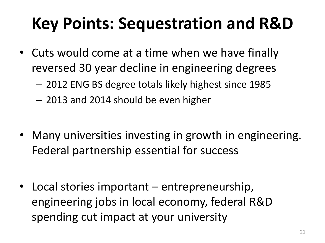#### **Key Points: Sequestration and R&D**

- Cuts would come at a time when we have finally reversed 30 year decline in engineering degrees
	- 2012 ENG BS degree totals likely highest since 1985
	- 2013 and 2014 should be even higher
- Many universities investing in growth in engineering. Federal partnership essential for success
- Local stories important entrepreneurship, engineering jobs in local economy, federal R&D spending cut impact at your university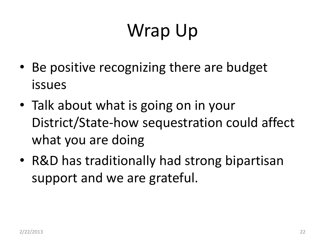## Wrap Up

- Be positive recognizing there are budget issues
- Talk about what is going on in your District/State-how sequestration could affect what you are doing
- R&D has traditionally had strong bipartisan support and we are grateful.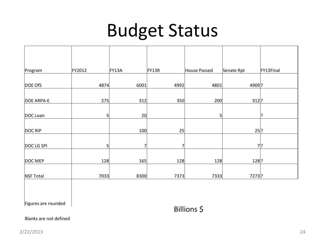#### Budget Status

| Program           | FY2012       | FY13A | FY13R | House Passed | Senate Rpt | FY13Final |
|-------------------|--------------|-------|-------|--------------|------------|-----------|
| DOE OfS           | 4874         | 6001  | 4992  | 4801         | 4909 ?     |           |
|                   |              |       |       |              |            |           |
| <b>DOE ARPA-E</b> | 275          | 312   | 350   | 200          | $312$ ?    |           |
| DOC Loan          | $\mathsf{S}$ | 20    |       | 5            |            | ς         |
| DOC RIP           |              | 100   | 25    |              | $25$ ?     |           |
| DOC LG SPI        | $5\vert$     | 7     | 7     |              |            | 기?        |
|                   |              |       |       |              |            |           |
| DOC MEP           | 128          | 165   | 128   | 128          | $128$ ?    |           |
| NSF Total         | 7033         | 8300  | 7373  | 7333         | 7273?      |           |
|                   |              |       |       |              |            |           |

Figures are rounded

Billions \$

#### Blanks are not defined